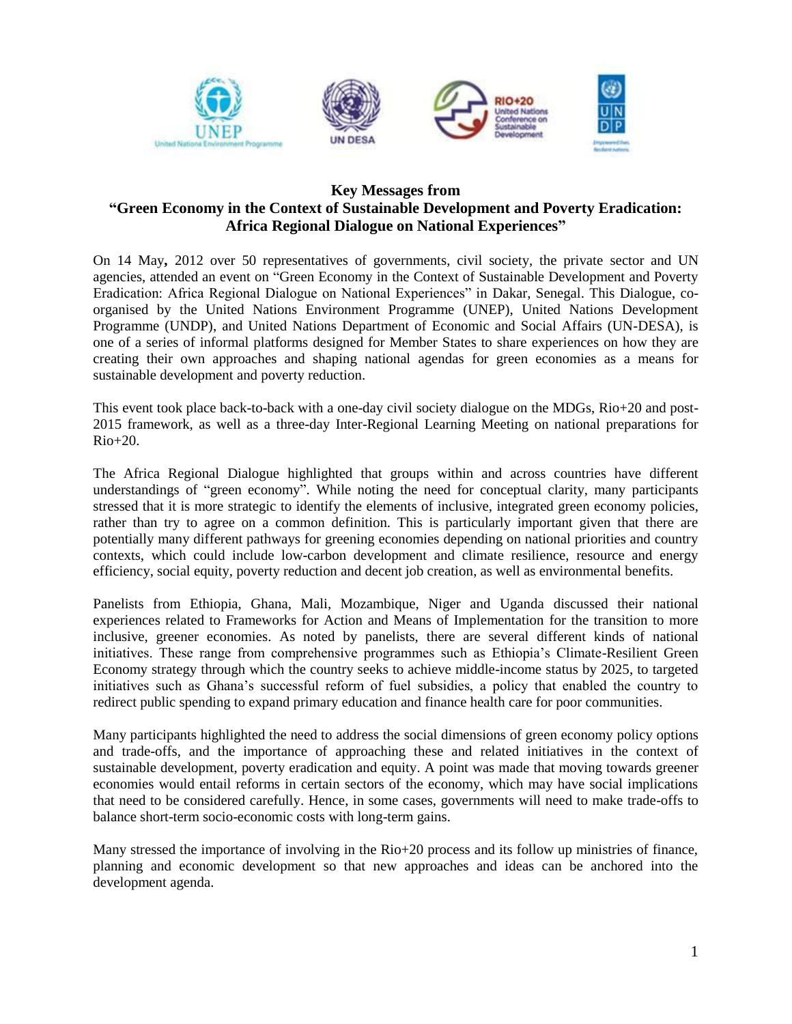

## **Key Messages from "Green Economy in the Context of Sustainable Development and Poverty Eradication: Africa Regional Dialogue on National Experiences"**

On 14 May**,** 2012 over 50 representatives of governments, civil society, the private sector and UN agencies, attended an event on "Green Economy in the Context of Sustainable Development and Poverty Eradication: Africa Regional Dialogue on National Experiences" in Dakar, Senegal. This Dialogue, coorganised by the United Nations Environment Programme (UNEP), United Nations Development Programme (UNDP), and United Nations Department of Economic and Social Affairs (UN-DESA), is one of a series of informal platforms designed for Member States to share experiences on how they are creating their own approaches and shaping national agendas for green economies as a means for sustainable development and poverty reduction.

This event took place back-to-back with a one-day civil society dialogue on the MDGs, Rio+20 and post-2015 framework, as well as a three-day Inter-Regional Learning Meeting on national preparations for  $Rio+20$ .

The Africa Regional Dialogue highlighted that groups within and across countries have different understandings of "green economy". While noting the need for conceptual clarity, many participants stressed that it is more strategic to identify the elements of inclusive, integrated green economy policies, rather than try to agree on a common definition. This is particularly important given that there are potentially many different pathways for greening economies depending on national priorities and country contexts, which could include low-carbon development and climate resilience, resource and energy efficiency, social equity, poverty reduction and decent job creation, as well as environmental benefits.

Panelists from Ethiopia, Ghana, Mali, Mozambique, Niger and Uganda discussed their national experiences related to Frameworks for Action and Means of Implementation for the transition to more inclusive, greener economies. As noted by panelists, there are several different kinds of national initiatives. These range from comprehensive programmes such as Ethiopia's Climate-Resilient Green Economy strategy through which the country seeks to achieve middle-income status by 2025, to targeted initiatives such as Ghana's successful reform of fuel subsidies, a policy that enabled the country to redirect public spending to expand primary education and finance health care for poor communities.

Many participants highlighted the need to address the social dimensions of green economy policy options and trade-offs, and the importance of approaching these and related initiatives in the context of sustainable development, poverty eradication and equity. A point was made that moving towards greener economies would entail reforms in certain sectors of the economy, which may have social implications that need to be considered carefully. Hence, in some cases, governments will need to make trade-offs to balance short-term socio-economic costs with long-term gains.

Many stressed the importance of involving in the Rio+20 process and its follow up ministries of finance, planning and economic development so that new approaches and ideas can be anchored into the development agenda.